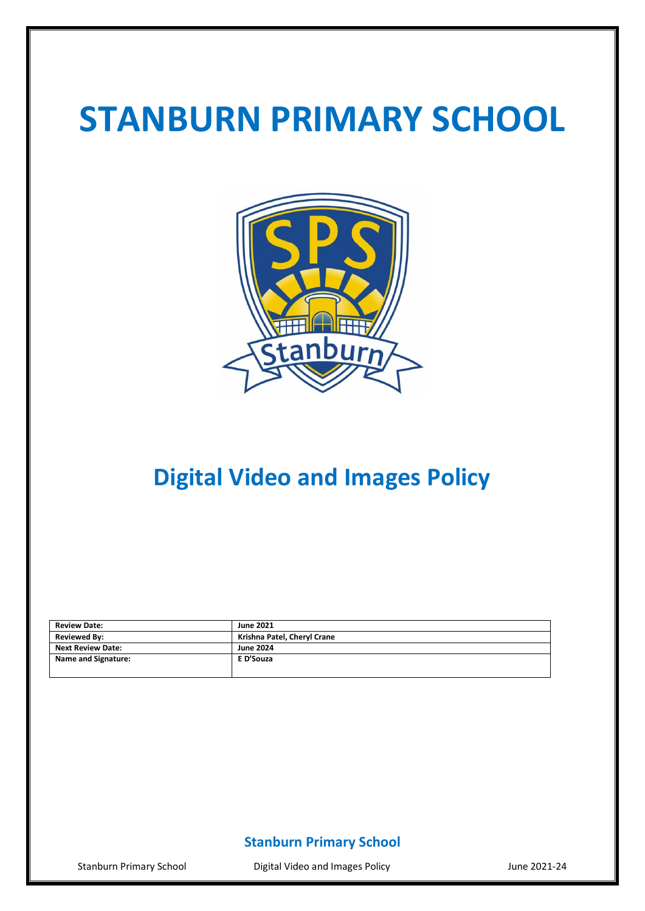# **STANBURN PRIMARY SCHOOL**



# **Digital Video and Images Policy**

| <b>Review Date:</b>      | <b>June 2021</b>            |
|--------------------------|-----------------------------|
| <b>Reviewed By:</b>      | Krishna Patel, Cheryl Crane |
| <b>Next Review Date:</b> | <b>June 2024</b>            |
| Name and Signature:      | E D'Souza                   |
|                          |                             |

## **Stanburn Primary School**

Stanburn Primary School **Digital Video and Images Policy Constant Constant Constant Constant** June 2021-24